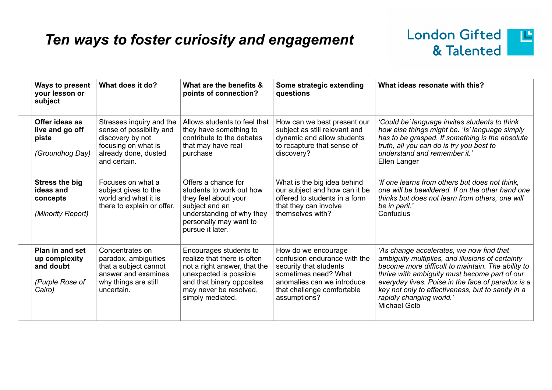## *Ten ways to foster curiosity and engagement*



| <b>Ways to present</b><br>your lesson or<br>subject                        | What does it do?                                                                                                                        | What are the benefits &<br>points of connection?                                                                                                                                           | Some strategic extending<br>questions                                                                                                                                             | What ideas resonate with this?                                                                                                                                                                                                                                                                                                                           |
|----------------------------------------------------------------------------|-----------------------------------------------------------------------------------------------------------------------------------------|--------------------------------------------------------------------------------------------------------------------------------------------------------------------------------------------|-----------------------------------------------------------------------------------------------------------------------------------------------------------------------------------|----------------------------------------------------------------------------------------------------------------------------------------------------------------------------------------------------------------------------------------------------------------------------------------------------------------------------------------------------------|
| Offer ideas as<br>live and go off<br>piste<br>(Groundhog Day)              | Stresses inquiry and the<br>sense of possibility and<br>discovery by not<br>focusing on what is<br>already done, dusted<br>and certain. | Allows students to feel that<br>they have something to<br>contribute to the debates<br>that may have real<br>purchase                                                                      | How can we best present our<br>subject as still relevant and<br>dynamic and allow students<br>to recapture that sense of<br>discovery?                                            | 'Could be' language invites students to think<br>how else things might be. 'Is' language simply<br>has to be grasped. If something is the absolute<br>truth, all you can do is try you best to<br>understand and remember it.'<br>Ellen Langer                                                                                                           |
| <b>Stress the big</b><br>ideas and<br>concepts<br>(Minority Report)        | Focuses on what a<br>subject gives to the<br>world and what it is<br>there to explain or offer.                                         | Offers a chance for<br>students to work out how<br>they feel about your<br>subject and an<br>understanding of why they<br>personally may want to<br>pursue it later.                       | What is the big idea behind<br>our subject and how can it be<br>offered to students in a form<br>that they can involve<br>themselves with?                                        | 'If one learns from others but does not think,<br>one will be bewildered. If on the other hand one<br>thinks but does not learn from others, one will<br>be in peril.'<br>Confucius                                                                                                                                                                      |
| Plan in and set<br>up complexity<br>and doubt<br>(Purple Rose of<br>Cairo) | Concentrates on<br>paradox, ambiguities<br>that a subject cannot<br>answer and examines<br>why things are still<br>uncertain.           | Encourages students to<br>realize that there is often<br>not a right answer, that the<br>unexpected is possible<br>and that binary opposites<br>may never be resolved,<br>simply mediated. | How do we encourage<br>confusion endurance with the<br>security that students<br>sometimes need? What<br>anomalies can we introduce<br>that challenge comfortable<br>assumptions? | 'As change accelerates, we now find that<br>ambiguity multiplies, and illusions of certainty<br>become more difficult to maintain. The ability to<br>thrive with ambiguity must become part of our<br>everyday lives. Poise in the face of paradox is a<br>key not only to effectiveness, but to sanity in a<br>rapidly changing world.'<br>Michael Gelb |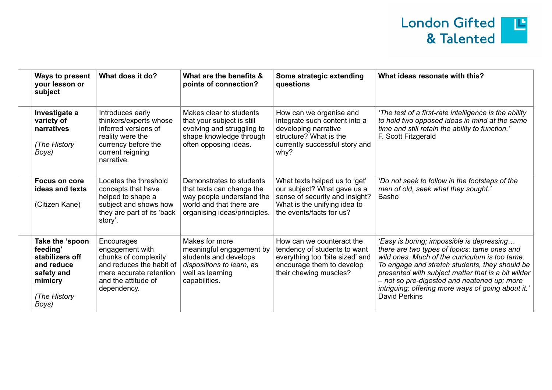

| Ways to present<br>your lesson or<br>subject                                                                   | What does it do?                                                                                                                                   | What are the benefits &<br>points of connection?                                                                                               | Some strategic extending<br>questions                                                                                                                      | What ideas resonate with this?                                                                                                                                                                                                                                                                                                                                            |
|----------------------------------------------------------------------------------------------------------------|----------------------------------------------------------------------------------------------------------------------------------------------------|------------------------------------------------------------------------------------------------------------------------------------------------|------------------------------------------------------------------------------------------------------------------------------------------------------------|---------------------------------------------------------------------------------------------------------------------------------------------------------------------------------------------------------------------------------------------------------------------------------------------------------------------------------------------------------------------------|
| Investigate a<br>variety of<br>narratives<br>(The History<br>Boys)                                             | Introduces early<br>thinkers/experts whose<br>inferred versions of<br>reality were the<br>currency before the<br>current reigning<br>narrative.    | Makes clear to students<br>that your subject is still<br>evolving and struggling to<br>shape knowledge through<br>often opposing ideas.        | How can we organise and<br>integrate such content into a<br>developing narrative<br>structure? What is the<br>currently successful story and<br>why?       | 'The test of a first-rate intelligence is the ability<br>to hold two opposed ideas in mind at the same<br>time and still retain the ability to function.'<br>F. Scott Fitzgerald                                                                                                                                                                                          |
| Focus on core<br>ideas and texts<br>(Citizen Kane)                                                             | Locates the threshold<br>concepts that have<br>helped to shape a<br>subject and shows how<br>they are part of its 'back<br>story'.                 | Demonstrates to students<br>that texts can change the<br>way people understand the<br>world and that there are<br>organising ideas/principles. | What texts helped us to 'get'<br>our subject? What gave us a<br>sense of security and insight?<br>What is the unifying idea to<br>the events/facts for us? | 'Do not seek to follow in the footsteps of the<br>men of old, seek what they sought.'<br>Basho                                                                                                                                                                                                                                                                            |
| Take the 'spoon<br>feeding'<br>stabilizers off<br>and reduce<br>safety and<br>mimicry<br>(The History<br>Boys) | Encourages<br>engagement with<br>chunks of complexity<br>and reduces the habit of<br>mere accurate retention<br>and the attitude of<br>dependency. | Makes for more<br>meaningful engagement by<br>students and develops<br>dispositions to learn, as<br>well as learning<br>capabilities.          | How can we counteract the<br>tendency of students to want<br>everything too 'bite sized' and<br>encourage them to develop<br>their chewing muscles?        | 'Easy is boring; impossible is depressing<br>there are two types of topics: tame ones and<br>wild ones. Much of the curriculum is too tame.<br>To engage and stretch students, they should be<br>presented with subject matter that is a bit wilder<br>- not so pre-digested and neatened up; more<br>intriguing; offering more ways of going about it.'<br>David Perkins |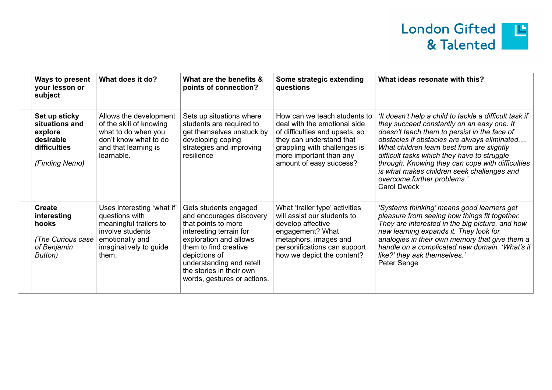

| Ways to present<br>your lesson or<br>subject                                              | What does it do?                                                                                                                                 | What are the benefits &<br>points of connection?                                                                                                                                                                                                               | Some strategic extending<br>questions                                                                                                                                                                            | What ideas resonate with this?                                                                                                                                                                                                                                                                                                                                                                                                                           |
|-------------------------------------------------------------------------------------------|--------------------------------------------------------------------------------------------------------------------------------------------------|----------------------------------------------------------------------------------------------------------------------------------------------------------------------------------------------------------------------------------------------------------------|------------------------------------------------------------------------------------------------------------------------------------------------------------------------------------------------------------------|----------------------------------------------------------------------------------------------------------------------------------------------------------------------------------------------------------------------------------------------------------------------------------------------------------------------------------------------------------------------------------------------------------------------------------------------------------|
| Set up sticky<br>situations and<br>explore<br>desirable<br>difficulties<br>(Finding Nemo) | Allows the development<br>of the skill of knowing<br>what to do when you<br>don't know what to do<br>and that learning is<br>learnable.          | Sets up situations where<br>students are required to<br>get themselves unstuck by<br>developing coping<br>strategies and improving<br>resilience                                                                                                               | How can we teach students to<br>deal with the emotional side<br>of difficulties and upsets, so<br>they can understand that<br>grappling with challenges is<br>more important than any<br>amount of easy success? | 'It doesn't help a child to tackle a difficult task if<br>they succeed constantly on an easy one. It<br>doesn't teach them to persist in the face of<br>obstacles if obstacles are always eliminated<br>What children learn best from are slightly<br>difficult tasks which they have to struggle<br>through. Knowing they can cope with difficulties<br>is what makes children seek challenges and<br>overcome further problems.'<br><b>Carol Dweck</b> |
| <b>Create</b><br>interesting<br>hooks<br>(The Curious case)<br>of Benjamin<br>Button)     | Uses interesting 'what if'<br>questions with<br>meaningful trailers to<br>involve students<br>emotionally and<br>imaginatively to guide<br>them. | Gets students engaged<br>and encourages discovery<br>that points to more<br>interesting terrain for<br>exploration and allows<br>them to find creative<br>depictions of<br>understanding and retell<br>the stories in their own<br>words, gestures or actions. | What 'trailer type' activities<br>will assist our students to<br>develop affective<br>engagement? What<br>metaphors, images and<br>personifications can support<br>how we depict the content?                    | 'Systems thinking' means good learners get<br>pleasure from seeing how things fit together.<br>They are interested in the big picture, and how<br>new learning expands it. They look for<br>analogies in their own memory that give them a<br>handle on a complicated new domain. 'What's it<br>like?' they ask themselves.'<br>Peter Senge                                                                                                              |